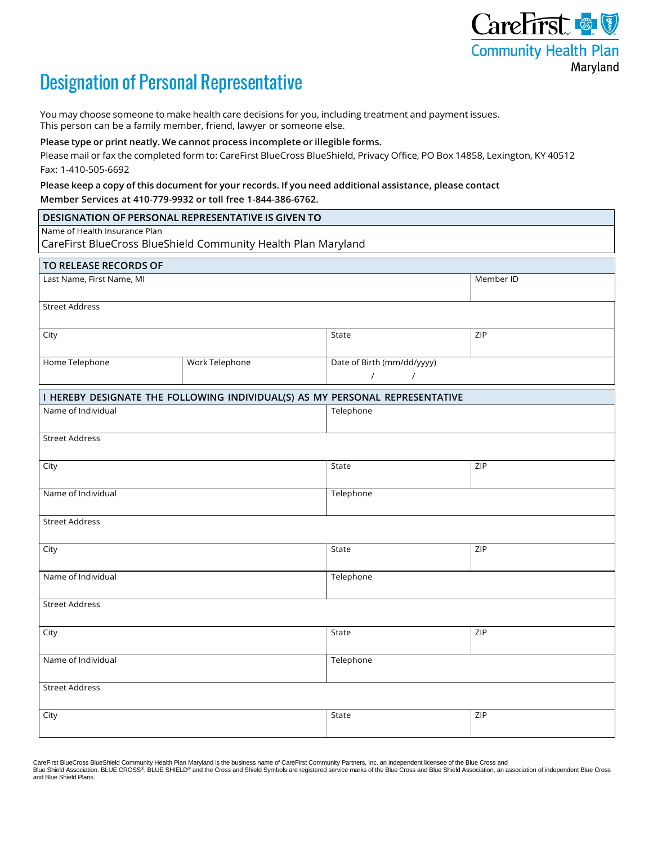

# Designation of Personal Representative

You may choose someone to make health care decisions for you, including treatment and payment issues. This person can be a family member, friend, lawyer or someone else.

#### **Please type or print neatly. We cannot process incomplete or illegible forms.**

Please mail or fax the completed form to: CareFirst BlueCross BlueShield, Privacy Office, PO Box 14858, Lexington, KY 40512 Fax: 1-410-505-6692

## **Please keep a copy of this document for your records. If you need additional assistance, please contact Member Services at 410-779-9932 or toll free 1-844-386-6762.**

| DESIGNATION OF PERSONAL REPRESENTATIVE IS GIVEN TO                           |                |                                                    |           |
|------------------------------------------------------------------------------|----------------|----------------------------------------------------|-----------|
| Name of Health Insurance Plan                                                |                |                                                    |           |
| CareFirst BlueCross BlueShield Community Health Plan Maryland                |                |                                                    |           |
| TO RELEASE RECORDS OF                                                        |                |                                                    |           |
| Last Name, First Name, MI                                                    |                |                                                    | Member ID |
| <b>Street Address</b>                                                        |                |                                                    |           |
| City                                                                         |                | State                                              | ZIP       |
| Home Telephone                                                               | Work Telephone | Date of Birth (mm/dd/yyyy)<br>$\prime$<br>$\prime$ |           |
| I HEREBY DESIGNATE THE FOLLOWING INDIVIDUAL(S) AS MY PERSONAL REPRESENTATIVE |                |                                                    |           |
| Name of Individual                                                           |                | Telephone                                          |           |
| <b>Street Address</b>                                                        |                |                                                    |           |
| City                                                                         |                | State                                              | ZIP       |
| Name of Individual                                                           |                | Telephone                                          |           |
| <b>Street Address</b>                                                        |                |                                                    |           |
| City                                                                         |                | State                                              | ZIP       |
| Name of Individual                                                           |                | Telephone                                          |           |
| <b>Street Address</b>                                                        |                |                                                    |           |
| City                                                                         |                | State                                              | ZIP       |
| Name of Individual                                                           |                | Telephone                                          |           |
| <b>Street Address</b>                                                        |                |                                                    |           |
| City                                                                         |                | State                                              | ZIP       |
|                                                                              |                |                                                    |           |

CareFirst BlueCross BlueShield Community Health Plan Maryland is the business name of CareFirst Community Partners, Inc. an independent licensee of the Blue Cross and Blue Shield Association. BLUE CROSS®, BLUE SHIELD® and the Cross and Shield Symbols are registered service marks of the Blue Cross and Blue Shield Association, an association of independent Blue Cross and Blue Shield Plans.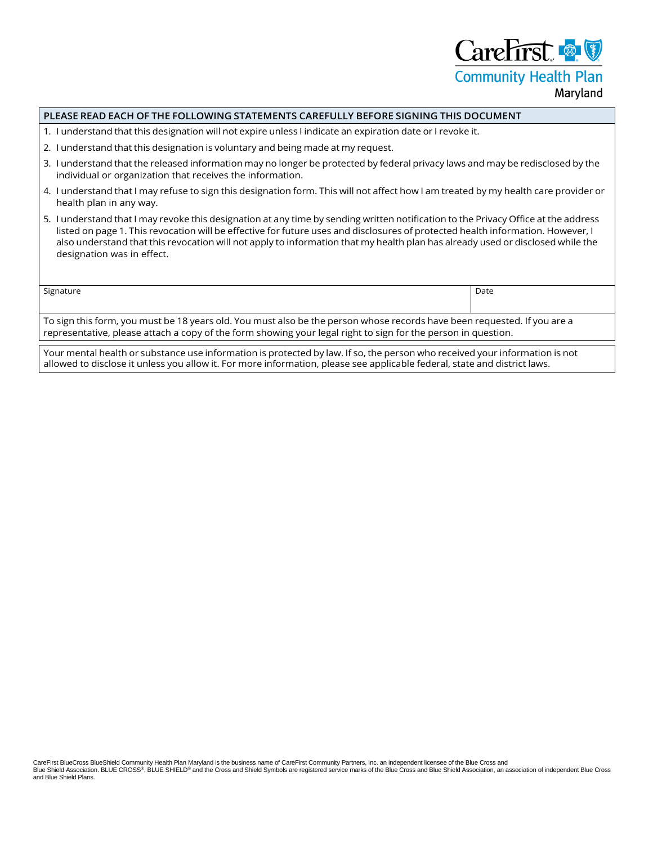CareFirst & **Community Health Plan** 

# Maryland

#### **PLEASE READ EACH OF THE FOLLOWING STATEMENTS CAREFULLY BEFORE SIGNING THIS DOCUMENT**

- 1. I understand that this designation will not expire unless I indicate an expiration date or I revoke it.
- 2. I understand that this designation is voluntary and being made at my request.
- 3. I understand that the released information may no longer be protected by federal privacy laws and may be redisclosed by the individual or organization that receives the information.
- 4. I understand that I may refuse to sign this designation form. This will not affect how I am treated by my health care provider or health plan in any way.
- 5. I understand that I may revoke this designation at any time by sending written notification to the Privacy Office at the address listed on page 1. This revocation will be effective for future uses and disclosures of protected health information. However, I also understand that this revocation will not apply to information that my health plan has already used or disclosed while the designation was in effect.

signature Date Date of the Date of the Date of the Date of the Date of the Date of the Date of the Date of the Date of the Date of the Date of the Date of the Date of the Date of the Date of the Date of the Date of the Dat

To sign this form, you must be 18 years old. You must also be the person whose records have been requested. If you are a representative, please attach a copy of the form showing your legal right to sign for the person in question.

Your mental health or substance use information is protected by law. If so, the person who received your information is not allowed to disclose it unless you allow it. For more information, please see applicable federal, state and district laws.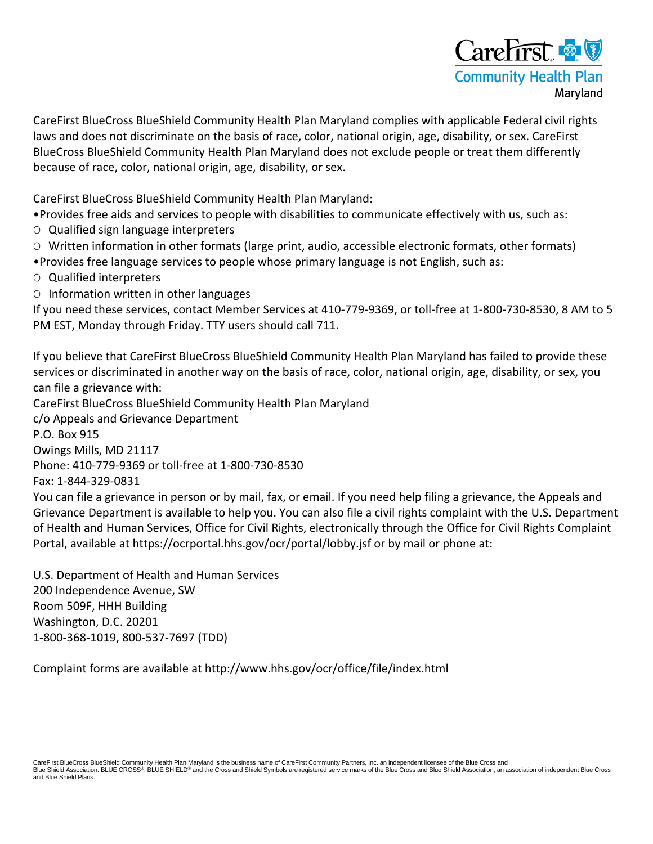

CareFirst BlueCross BlueShield Community Health Plan Maryland complies with applicable Federal civil rights laws and does not discriminate on the basis of race, color, national origin, age, disability, or sex. CareFirst BlueCross BlueShield Community Health Plan Maryland does not exclude people or treat them differently because of race, color, national origin, age, disability, or sex.

CareFirst BlueCross BlueShield Community Health Plan Maryland:

•Provides free aids and services to people with disabilities to communicate effectively with us, such as:

O Qualified sign language interpreters

O Written information in other formats (large print, audio, accessible electronic formats, other formats)

- •Provides free language services to people whose primary language is not English, such as:
- O Qualified interpreters
- O Information written in other languages

If you need these services, contact Member Services at 410-779-9369, or toll-free at 1-800-730-8530, 8 AM to 5 PM EST, Monday through Friday. TTY users should call 711.

If you believe that CareFirst BlueCross BlueShield Community Health Plan Maryland has failed to provide these services or discriminated in another way on the basis of race, color, national origin, age, disability, or sex, you can file a grievance with:

CareFirst BlueCross BlueShield Community Health Plan Maryland

c/o Appeals and Grievance Department

P.O. Box 915

Owings Mills, MD 21117

Phone: 410-779-9369 or toll-free at 1-800-730-8530

Fax: 1-844-329-0831

You can file a grievance in person or by mail, fax, or email. If you need help filing a grievance, the Appeals and Grievance Department is available to help you. You can also file a civil rights complaint with the U.S. Department of Health and Human Services, Office for Civil Rights, electronically through the Office for Civil Rights Complaint Portal, available at https://ocrportal.hhs.gov/ocr/portal/lobby.jsf or by mail or phone at:

U.S. Department of Health and Human Services 200 Independence Avenue, SW Room 509F, HHH Building Washington, D.C. 20201 1-800-368-1019, 800-537-7697 (TDD)

Complaint forms are available at http://www.hhs.gov/ocr/office/file/index.html

CareFirst BlueCross BlueShield Community Health Plan Maryland is the business name of CareFirst Community Partners, Inc. an independent licensee of the Blue Cross and Blue Shield Association. BLUE CROSS®, BLUE SHIELD® and the Cross and Shield Symbols are registered service marks of the Blue Cross and Blue Shield Association, an association of independent Blue Cross and Blue Shield Plans.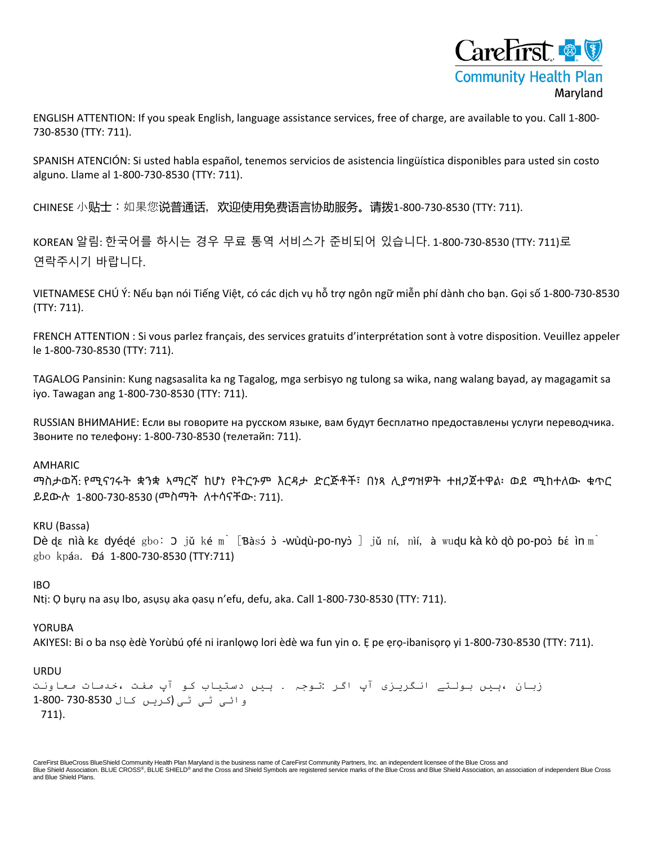

ENGLISH ATTENTION: If you speak English, language assistance services, free of charge, are available to you. Call 1-800- 730-8530 (TTY: 711).

SPANISH ATENCIÓN: Si usted habla español, tenemos servicios de asistencia lingüística disponibles para usted sin costo alguno. Llame al 1-800-730-8530 (TTY: 711).

CHINESE 小贴士:如果您说普通话,欢迎使用免费语言协助服务。请拨1-800-730-8530 (TTY: 711).

KOREAN 알림: 한국어를 하시는 경우 무료 통역 서비스가 준비되어 있습니다. 1-800-730-8530 (TTY: 711)로 연락주시기 바랍니다.

VIETNAMESE CHÚ Ý: Nếu bạn nói Tiếng Việt, có các dịch vụ hỗ trợ ngôn ngữ miễn phí dành cho bạn. Gọi số 1-800-730-8530 (TTY: 711).

FRENCH ATTENTION : Si vous parlez français, des services gratuits d'interprétation sont à votre disposition. Veuillez appeler le 1-800-730-8530 (TTY: 711).

TAGALOG Pansinin: Kung nagsasalita ka ng Tagalog, mga serbisyo ng tulong sa wika, nang walang bayad, ay magagamit sa iyo. Tawagan ang 1-800-730-8530 (TTY: 711).

RUSSIAN ВНИМАНИЕ: Если вы говорите на русском языке, вам будут бесплатно предоставлены услуги переводчика. Звоните по телефону: 1-800-730-8530 (телетайп: 711).

## AMHARIC

ማስታወሻ: የሚናገሩት ቋንቋ ኣማርኛ ከሆነ የትርጉም እርዳታ ድርጅቶች፣ በነጻ ሊያግዝዎት ተዘጋጀተዋል፡ ወደ ሚከተለው ቁጥር ይደውሉ 1-800-730-8530 (መስማት ለተሳናቸው: 711).

# KRU (Bassa)

Dè dɛ nìà kɛ dyédé gbo: ɔ jǔ ké mì [Bàsɔ́ ɔ̀ -wùdù-po-nyɔ̀ ] jǔ ní, nìí, à wudu kà kò dò po-poɔ̀ bɛ́ ìn mì gbo kpáa. Ɖá 1-800-730-8530 (TTY:711)

## IBO

Ntị: Ọ bụrụ na asụ Ibo, asụsụ aka ọasụ n'efu, defu, aka. Call 1-800-730-8530 (TTY: 711).

## YORUBA

AKIYESI: Bi o ba nso èdè Yorùbú ofé ni iranlowo lori èdè wa fun yin o. E pe ero-ibanisoro yi 1-800-730-8530 (TTY: 711).

## URDU

زبان ،ہیں بولتے انگریزی آپ اگر :توجہ ۔ ہیں دستیاب کو آپ مفت ،خدمات معاونت وائی ٹی ٹی (کریں کال 730-8530 1-800- 711).